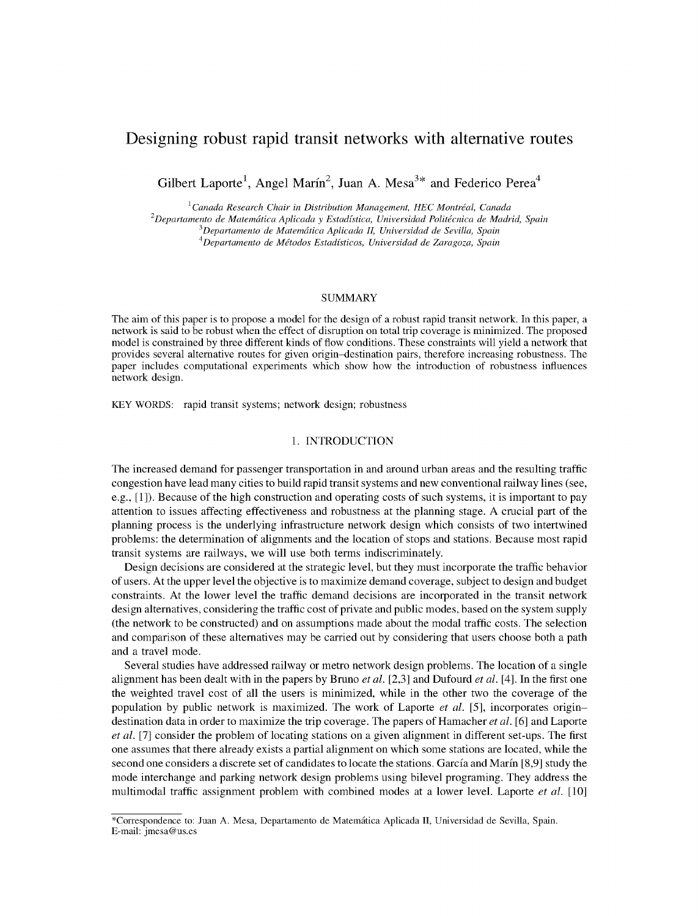# Designing robust rapid transit networks with alternative routes

Gilbert Laporte<sup>1</sup>, Angel Marín<sup>2</sup>, Juan A. Mesa<sup>3\*</sup> and Federico Perea<sup>4</sup>

*Canada Research Chair in Distribution Management, HEC Montreal, Canada Departamento de Matemdtica Aplicada y Estadistica, Universidad Politecnica de Madrid, Spain ^Departamento de Matemdtica Aplicada II, Universidad de Sevilla, Spain Departamento de Metodos Estadisticos, Universidad de Zaragoza, Spain* 

# **SUMMARY**

The aim of this paper is to propose a model for the design of a robust rapid transit network. In this paper, a network is said to be robust when the effect of disruption on total trip coverage is minimized. The proposed model is constrained by three different kinds of flow conditions. These constraints will yield a network that provides several alternative routes for given origin-destination pairs, therefore increasing robustness. The paper includes computational experiments which show how the introduction of robustness influences network design.

KEY WORDS: rapid transit systems; network design; robustness

# 1. INTRODUCTION

The increased demand for passenger transportation in and around urban areas and the resulting traffic congestion have lead many cities to build rapid transit systems and new conventional railway lines (see, e.g., [1]). Because of the high construction and operating costs of such systems, it is important to pay attention to issues affecting effectiveness and robustness at the planning stage. A crucial part of the planning process is the underlying infrastructure network design which consists of two intertwined problems: the determination of alignments and the location of stops and stations. Because most rapid transit systems are railways, we will use both terms indiscriminately.

Design decisions are considered at the strategic level, but they must incorporate the traffic behavior of users. At the upper level the objective is to maximize demand coverage, subject to design and budget constraints. At the lower level the traffic demand decisions are incorporated in the transit network design alternatives, considering the traffic cost of private and public modes, based on the system supply (the network to be constructed) and on assumptions made about the modal traffic costs. The selection and comparison of these alternatives may be carried out by considering that users choose both a path and a travel mode.

Several studies have addressed railway or metro network design problems. The location of a single alignment has been dealt with in the papers by Bruno *et al.* [2,3] and Dufourd *et al.* [4]. In the first one the weighted travel cost of all the users is minimized, while in the other two the coverage of the population by public network is maximized. The work of Laporte *et al.* [5], incorporates origindestination data in order to maximize the trip coverage. The papers of Hamacher *et al.* [6] and Laporte *et al.* [7] consider the problem of locating stations on a given alignment in different set-ups. The first one assumes that there already exists a partial alignment on which some stations are located, while the second one considers a discrete set of candidates to locate the stations. Garcia and Marin [8,9] study the mode interchange and parking network design problems using bilevel programing. They address the multimodal traffic assignment problem with combined modes at a lower level. Laporte *et al.* [10]

<sup>\*</sup>Correspondence to: Juan A. Mesa, Departamento de Matematica Aplicada II, Universidad de Sevilla, Spain. E-mail: [jmesa@us.es](mailto:jmesa@us.es)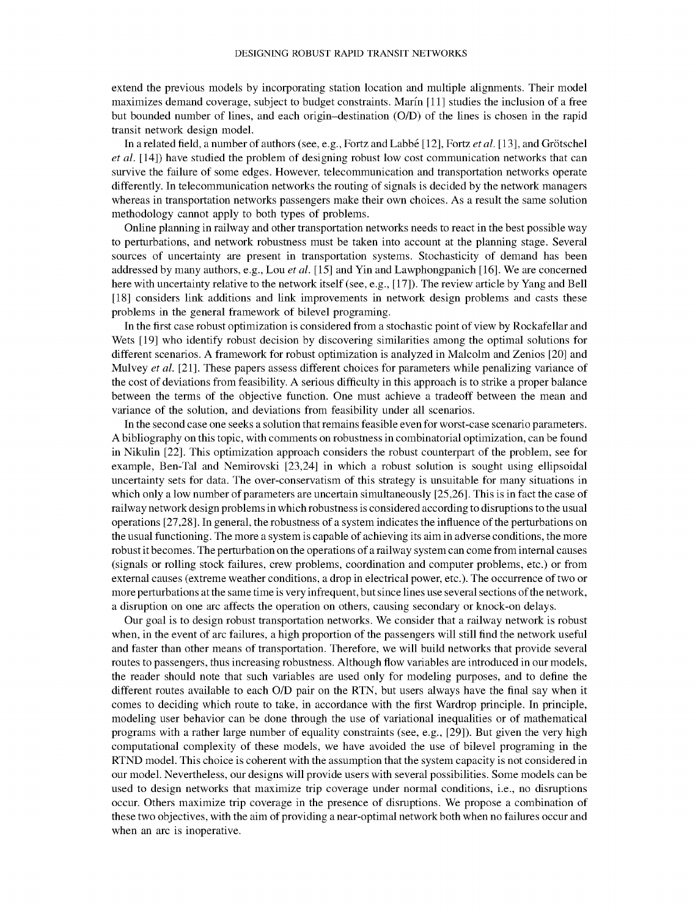extend the previous models by incorporating station location and multiple alignments. Their model maximizes demand coverage, subject to budget constraints. Marin [11] studies the inclusion of a free but bounded number of lines, and each origin-destination (O/D) of the lines is chosen in the rapid transit network design model.

In a related field, a number of authors (see, e.g., Fortz and Labbé [12], Fortz *et al.* [13], and Grötschel *et al.* [14]) have studied the problem of designing robust low cost communication networks that can survive the failure of some edges. However, telecommunication and transportation networks operate differently. In telecommunication networks the routing of signals is decided by the network managers whereas in transportation networks passengers make their own choices. As a result the same solution methodology cannot apply to both types of problems.

Online planning in railway and other transportation networks needs to react in the best possible way to perturbations, and network robustness must be taken into account at the planning stage. Several sources of uncertainty are present in transportation systems. Stochasticity of demand has been addressed by many authors, e.g., Lou *et al.* [15] and Yin and Lawphongpanich [16]. We are concerned here with uncertainty relative to the network itself (see, e.g., [17]). The review article by Yang and Bell [18] considers link additions and link improvements in network design problems and casts these problems in the general framework of bilevel programing.

In the first case robust optimization is considered from a stochastic point of view by Rockafellar and Wets [19] who identify robust decision by discovering similarities among the optimal solutions for different scenarios. A framework for robust optimization is analyzed in Malcolm and Zenios [20] and Mulvey *et al.* [21]. These papers assess different choices for parameters while penalizing variance of the cost of deviations from feasibility. A serious difficulty in this approach is to strike a proper balance between the terms of the objective function. One must achieve a tradeoff between the mean and variance of the solution, and deviations from feasibility under all scenarios.

In the second case one seeks a solution that remains feasible even for worst-case scenario parameters. A bibliography on this topic, with comments on robustness in combinatorial optimization, can be found in Nikulin [22]. This optimization approach considers the robust counterpart of the problem, see for example, Ben-Tal and Nemirovski [23,24] in which a robust solution is sought using ellipsoidal uncertainty sets for data. The over-conservatism of this strategy is unsuitable for many situations in which only a low number of parameters are uncertain simultaneously [25,26]. This is in fact the case of railway network design problems in which robustness is considered according to disruptions to the usual operations [27,28]. In general, the robustness of a system indicates the influence of the perturbations on the usual functioning. The more a system is capable of achieving its aim in adverse conditions, the more robust it becomes. The perturbation on the operations of a railway system can come from internal causes (signals or rolling stock failures, crew problems, coordination and computer problems, etc.) or from external causes (extreme weather conditions, a drop in electrical power, etc.). The occurrence of two or more perturbations at the same time is very infrequent, but since lines use several sections of the network, a disruption on one arc affects the operation on others, causing secondary or knock-on delays.

Our goal is to design robust transportation networks. We consider that a railway network is robust when, in the event of arc failures, a high proportion of the passengers will still find the network useful and faster than other means of transportation. Therefore, we will build networks that provide several routes to passengers, thus increasing robustness. Although flow variables are introduced in our models, the reader should note that such variables are used only for modeling purposes, and to define the different routes available to each O/D pair on the RTN, but users always have the final say when it comes to deciding which route to take, in accordance with the first Wardrop principle. In principle, modeling user behavior can be done through the use of variational inequalities or of mathematical programs with a rather large number of equality constraints (see, e.g., [29]). But given the very high computational complexity of these models, we have avoided the use of bilevel programing in the RTND model. This choice is coherent with the assumption that the system capacity is not considered in our model. Nevertheless, our designs will provide users with several possibilities. Some models can be used to design networks that maximize trip coverage under normal conditions, i.e., no disruptions occur. Others maximize trip coverage in the presence of disruptions. We propose a combination of these two objectives, with the aim of providing a near-optimal network both when no failures occur and when an arc is inoperative.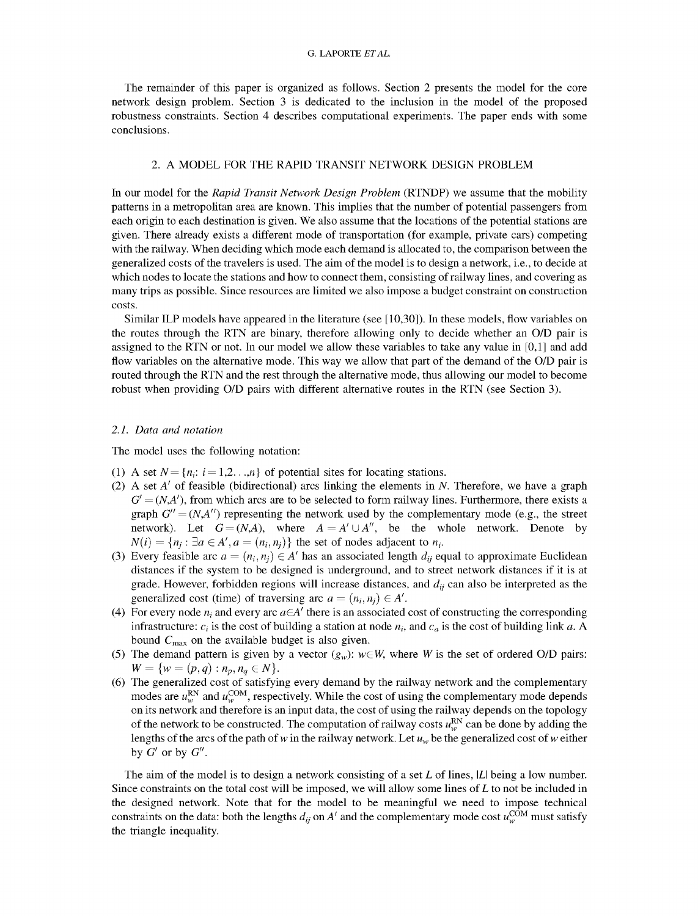The remainder of this paper is organized as follows. Section 2 presents the model for the core network design problem. Section 3 is dedicated to the inclusion in the model of the proposed robustness constraints. Section 4 describes computational experiments. The paper ends with some conclusions.

#### 2. A MODEL FOR THE RAPID TRANSIT NETWORK DESIGN PROBLEM

In our model for the *Rapid Transit Network Design Problem* (RTNDP) we assume that the mobility patterns in a metropolitan area are known. This implies that the number of potential passengers from each origin to each destination is given. We also assume that the locations of the potential stations are given. There already exists a different mode of transportation (for example, private cars) competing with the railway. When deciding which mode each demand is allocated to, the comparison between the generalized costs of the travelers is used. The aim of the model is to design a network, i.e., to decide at which nodes to locate the stations and how to connect them, consisting of railway lines, and covering as many trips as possible. Since resources are limited we also impose a budget constraint on construction costs.

Similar ILP models have appeared in the literature (see [10,30]). In these models, flow variables on the routes through the RTN are binary, therefore allowing only to decide whether an O/D pair is assigned to the RTN or not. In our model we allow these variables to take any value in [0,1] and add flow variables on the alternative mode. This way we allow that part of the demand of the O/D pair is routed through the RTN and the rest through the alternative mode, thus allowing our model to become robust when providing O/D pairs with different alternative routes in the RTN (see Section 3).

#### *2.1. Data and notation*

The model uses the following notation:

- (1) A set  $N = \{n_i: i = 1,2,...,n\}$  of potential sites for locating stations.
- (2) A set *A'* of feasible (bidirectional) arcs linking the elements in A^. Therefore, we have a graph  $G' = (N, A')$ , from which arcs are to be selected to form railway lines. Furthermore, there exists a graph  $G'' = (N, A'')$  representing the network used by the complementary mode (e.g., the street network). Let  $G = (N, A)$ , where  $A = A' \cup A''$ , be the whole network. Denote by  $N(i) = \{n_i : \exists a \in A', a = (n_i,n_i)\}\$ the set of nodes adjacent to  $n_i$ .
- (3) Every feasible arc  $a = (n_i, n_i) \in A'$  has an associated length  $d_{ii}$  equal to approximate Euclidean distances if the system to be designed is underground, and to street network distances if it is at grade. However, forbidden regions will increase distances, and  $d_{ii}$  can also be interpreted as the generalized cost (time) of traversing arc  $a = (n_i, n_i) \in A'$ .
- (4) For every node  $n_i$  and every arc  $a \in A'$  there is an associated cost of constructing the corresponding infrastructure:  $c_i$  is the cost of building a station at node  $n_i$ , and  $c_a$  is the cost of building link a. A bound  $C_{\text{max}}$  on the available budget is also given.
- (5) The demand pattern is given by a vector  $(g_w)$ :  $w \in W$ , where *W* is the set of ordered O/D pairs:  $W = \{w = (p, q) : n_p, n_q \in N\}.$
- (6) The generalized cost of satisfying every demand by the railway network and the complementary modes are  $u_w^{\rm RN}$  and  $u_w^{\rm COM}$ , respectively. While the cost of using the complementary mode depends on its network and therefore is an input data, the cost of using the railway depends on the topology of the network to be constructed. The computation of railway costs  $u^{\text{RN}}_w$  can be done by adding the lengths of the arcs of the path of *w* in the railway network. Let  $u_w$  be the generalized cost of *w* either by  $G'$  or by  $G''$ .

The aim of the model is to design a network consisting of a set *L* of lines, *\L\* being a low number. Since constraints on the total cost will be imposed, we will allow some lines of L to not be included in the designed network. Note that for the model to be meaningful we need to impose technical constraints on the data: both the lengths  $d_{ij}$  on  $A'$  and the complementary mode cost  $u_{w}^{\text{COM}}$  must satisfy the triangle inequality.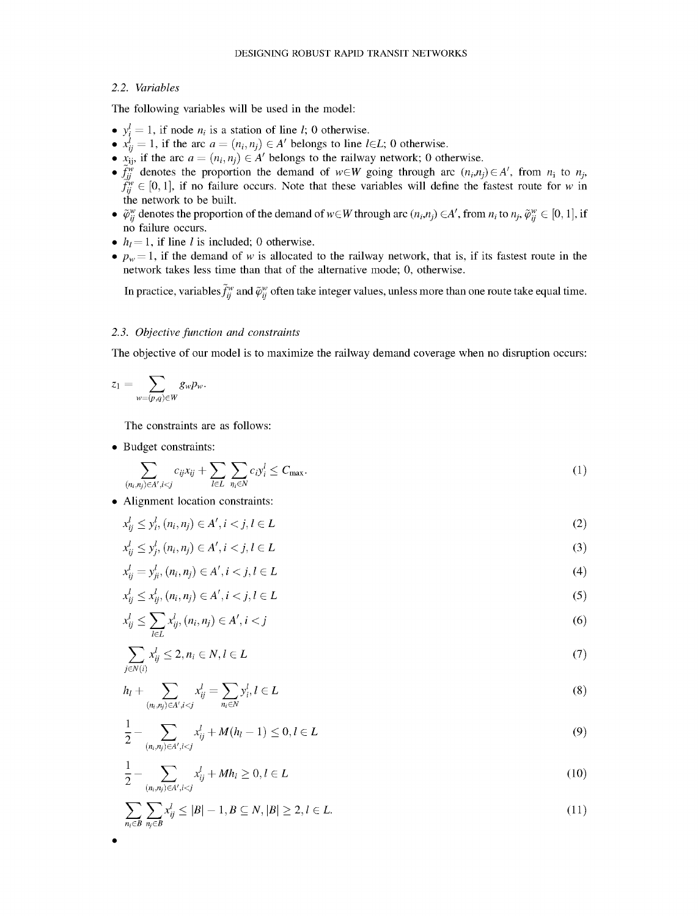## *2.2. Variables*

The following variables will be used in the model:

- 
- $y_i^l = 1$ , if node  $n_i$  is a station of line *l*; 0 otherwise.<br>
 $x_{ij}^l = 1$ , if the arc  $a = (n_i, n_j) \in A'$  belongs to line *l*∈*L*; 0 otherwise.
- $x_{ij}$ , if the arc  $a = (n_i, n_j) \in A'$  belongs to the railway network; 0 otherwise.
- $\tilde{f}_{ij}^{\tilde{w}}$  denotes the proportion the demand of  $w \in W$  going through arc  $(n_i, n_j) \in A'$ , from  $n_i$  to  $n_j$ ,  $\tilde{f}^w_{ii} \in [0,1]$ , if no failure occurs. Note that these variables will define the fastest route for w in the network to be built.
- $\tilde{\varphi}_{ii}^w$  denotes the proportion of the demand of  $w \in W$  through arc  $(n_i, n_j) \in A'$ , from  $n_i$  to  $n_j$ ,  $\tilde{\varphi}_{ii}^w \in [0,1]$ , if no failure occurs.
- $h_l = 1$ , if line *l* is included; 0 otherwise.
- $p_w = 1$ , if the demand of w is allocated to the railway network, that is, if its fastest route in the network takes less time than that of the alternative mode; 0, otherwise.

In practice, variables  $\hat{f}_{ii}^w$  and  $\tilde{\varphi}_{ii}^w$  often take integer values, unless more than one route take equal time.

### *2.3. Objective function and constraints*

The objective of our model is to maximize the railway demand coverage when no disruption occurs:

$$
z_1=\sum_{w=(p,q)\in W}g_wp_w.
$$

The constraints are as follows:

• Budget constraints:

$$
\sum_{(n_i,n_j)\in A',i\n(1)
$$

• Alignment location constraints:

$$
x_{ij}^l \le y_i^l, (n_i, n_j) \in A', i < j, l \in L \tag{2}
$$

$$
x_{ij}^l \le y_j^l, (n_i, n_j) \in A', i < j, l \in L \tag{3}
$$

$$
x_{ij}^l = y_{ji}^l, (n_i, n_j) \in A', i < j, l \in L \tag{4}
$$

$$
x_{ij}^l \le x_{ij}^l, (n_i, n_j) \in A', i < j, l \in L \tag{5}
$$

$$
x_{ij}^l \le \sum_{l \in L} x_{ij}^l, (n_i, n_j) \in A', i < j \tag{6}
$$

$$
\sum_{j \in N(i)} x_{ij}^l \le 2, n_i \in N, l \in L \tag{7}
$$

$$
h_l + \sum_{(n_i, n_j) \in A', i < j} x_{ij}^l = \sum_{n_i \in N} y_i^l, l \in L \tag{8}
$$

$$
\frac{1}{2} - \sum_{(n_i, n_j) \in A', i < j} x_{ij}^l + M(h_l - 1) \le 0, l \in L \tag{9}
$$

$$
\frac{1}{2} - \sum_{(n_i, n_j) \in A', i < j} x_{ij}^l + M h_l \ge 0, l \in L \tag{10}
$$

$$
\sum_{n_i \in B} \sum_{n_j \in B} x_{ij}^l \le |B| - 1, B \subseteq N, |B| \ge 2, l \in L. \tag{11}
$$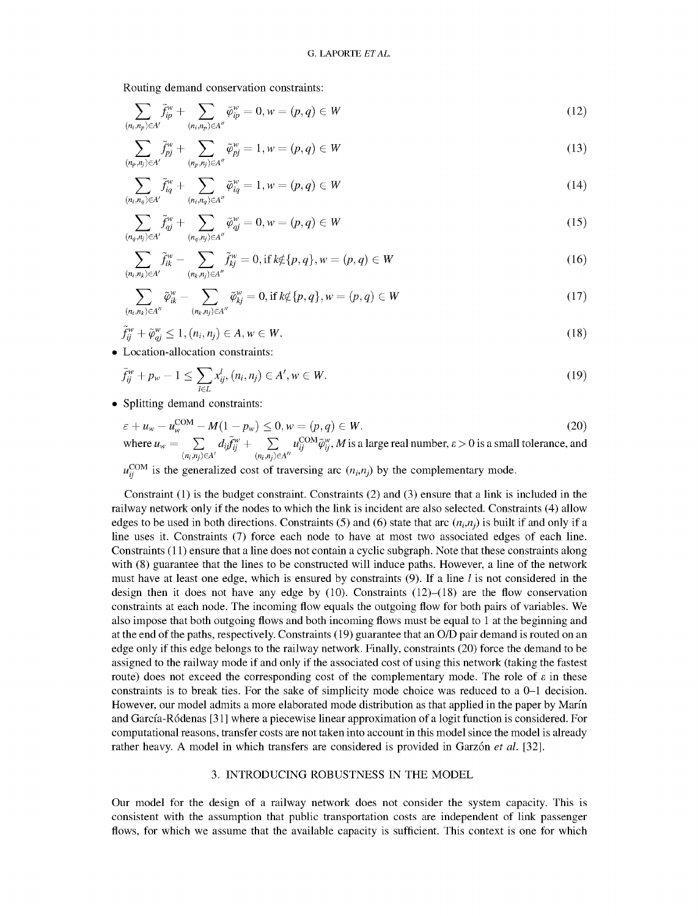Routing demand conservation constraints:

$$
\sum_{(n_i, n_p) \in A'} \tilde{f}_{ip}^w + \sum_{(n_i, n_p) \in A''} \tilde{\varphi}_{ip}^w = 0, w = (p, q) \in W
$$
 (12)

$$
\sum_{(n_p, n_j) \in A'} \tilde{f}_{pj}^w + \sum_{(n_p, n_j) \in A''} \tilde{\varphi}_{pj}^w = 1, w = (p, q) \in W
$$
\n(13)

$$
\sum_{(n_i,n_q)\in A'} \tilde{f}_{iq}^w + \sum_{(n_i,n_q)\in A''} \tilde{\varphi}_{iq}^w = 1, w = (p,q) \in W
$$
\n(14)

$$
\sum_{(n_q, n_j) \in A'} \tilde{f}_{qj}^w + \sum_{(n_q, n_j) \in A''} \tilde{\varphi}_{qj}^w = 0, w = (p, q) \in W
$$
\n(15)

$$
\sum_{(n_i,n_k)\in A'} \widetilde{f}_{ik}^w - \sum_{(n_k,n_i)\in A''} \widetilde{f}_{kj}^w = 0, \text{ if } k \notin \{p,q\}, w = (p,q) \in W
$$
\n
$$
(16)
$$

$$
\sum_{(n_i, n_k) \in A''} \tilde{\varphi}_{ik}^w - \sum_{(n_k, n_j) \in A''} \tilde{\varphi}_{kj}^w = 0, \text{ if } k \notin \{p, q\}, w = (p, q) \in W
$$
\n(17)

$$
\tilde{f}_{ij}^w + \tilde{\varphi}_{ij}^w \le 1, (n_i, n_j) \in A, w \in W.
$$
\n(18)

• Location-allocation constraints:

$$
\tilde{f}_{ij}^w + p_w - 1 \le \sum_{l \in L} x_{ij}^l, (n_i, n_j) \in A', w \in W.
$$
\n(19)

• Splitting demand constraints:

$$
\varepsilon + u_w - u_w^{\text{COM}} - M(1 - p_w) \le 0, w = (p, q) \in W.
$$
\n(20)  
\nwhere  $u_w = \sum_{(n_i, n_j) \in A'} d_{ij} \tilde{f}_{ij}^w + \sum_{(n_i, n_j) \in A''} u_{ij}^{\text{COM}} \tilde{\varphi}_{ij}^w, M \text{ is a large real number, } \varepsilon > 0 \text{ is a small tolerance, and}$ 

 $u_{ii}^{\text{COM}}$  is the generalized cost of traversing arc  $(n_i, n_j)$  by the complementary mode.

Constraint (1) is the budget constraint. Constraints (2) and (3) ensure that a link is included in the railway network only if the nodes to which the link is incident are also selected. Constraints (4) allow edges to be used in both directions. Constraints (5) and (6) state that arc  $(n_i, n_j)$  is built if and only if a line uses it. Constraints (7) force each node to have at most two associated edges of each line. Constraints (11) ensure that a line does not contain a cyclic subgraph. Note that these constraints along with (8) guarantee that the lines to be constructed will induce paths. However, a line of the network must have at least one edge, which is ensured by constraints (9). If a line *I* is not considered in the design then it does not have any edge by  $(10)$ . Constraints  $(12)$ – $(18)$  are the flow conservation constraints at each node. The incoming flow equals the outgoing flow for both pairs of variables. We also impose that both outgoing flows and both incoming flows must be equal to 1 at the beginning and at the end of the paths, respectively. Constraints (19) guarantee that an O/D pair demand is routed on an edge only if this edge belongs to the railway network. Finally, constraints (20) force the demand to be assigned to the railway mode if and only if the associated cost of using this network (taking the fastest route) does not exceed the corresponding cost of the complementary mode. The role of  $\varepsilon$  in these constraints is to break ties. For the sake of simplicity mode choice was reduced to a 0-1 decision. However, our model admits a more elaborated mode distribution as that applied in the paper by Marin and Garcia-Rodenas [31] where a piecewise linear approximation of a logit function is considered. For computational reasons, transfer costs are not taken into account in this model since the model is already rather heavy. A model in which transfers are considered is provided in Garzón et al. [32].

### 3. INTRODUCING ROBUSTNESS IN THE MODEL

Our model for the design of a railway network does not consider the system capacity. This is consistent with the assumption that public transportation costs are independent of link passenger flows, for which we assume that the available capacity is sufficient. This context is one for which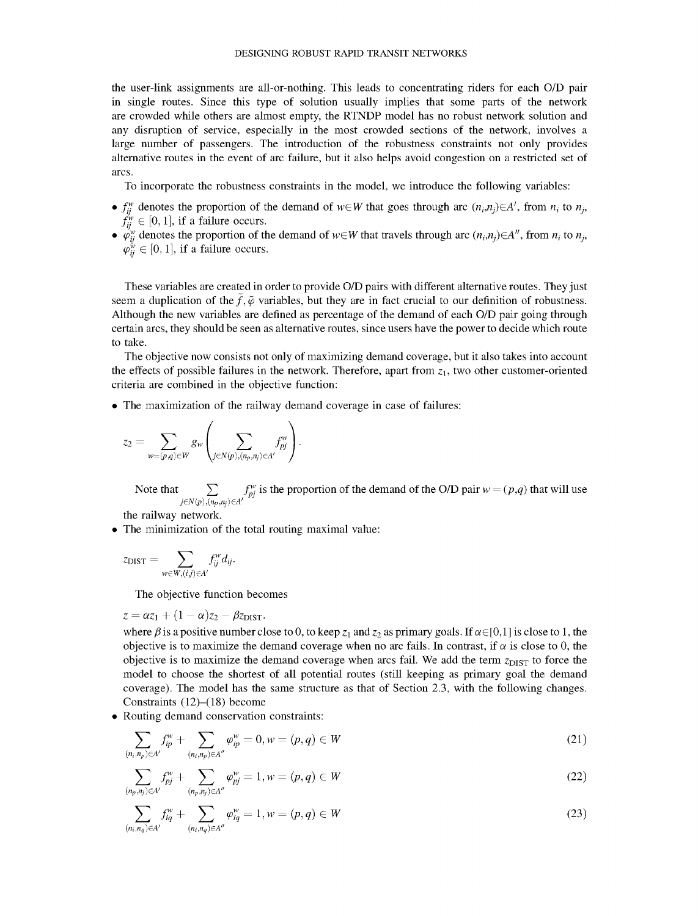### DESIGNING ROBUST RAPID TRANSIT NETWORKS

the user-link assignments are all-or-nothing. This leads to concentrating riders for each O/D pair in single routes. Since this type of solution usually implies that some parts of the network are crowded while others are almost empty, the RTNDP model has no robust network solution and any disruption of service, especially in the most crowded sections of the network, involves a large number of passengers. The introduction of the robustness constraints not only provides alternative routes in the event of arc failure, but it also helps avoid congestion on a restricted set of arcs.

To incorporate the robustness constraints in the model, we introduce the following variables:

- $f_{ij}^w$  denotes the proportion of the demand of  $w \in W$  that goes through arc  $(n_i, n_j) \in A'$ , from  $n_i$  to  $n_j$ ,  $f_{ii}^{\scriptscriptstyle{W}} \in [0,1]$ , if a failure occurs.
- $\varphi_{ii}^w$  denotes the proportion of the demand of  $w \in W$  that travels through arc  $(n_i, n_j) \in A''$ , from  $n_i$  to  $n_j$ ,  $\varphi_{ii}^{\dot{w}} \in [0,1]$ , if a failure occurs.

These variables are created in order to provide O/D pairs with different alternative routes. They just seem a duplication of the  $f$ ,  $\tilde{\varphi}$  variables, but they are in fact crucial to our definition of robustness. Although the new variables are defined as percentage of the demand of each O/D pair going through certain arcs, they should be seen as alternative routes, since users have the power to decide which route to take.

The objective now consists not only of maximizing demand coverage, but it also takes into account the effects of possible failures in the network. Therefore, apart from *zi,* two other customer-oriented criteria are combined in the objective function:

• The maximization of the railway demand coverage in case of failures:

$$
z_2=\sum_{w=(p,q)\in W}g_w\left(\sum_{j\in N(p),(n_p,n_j)\in A'}f_{pj}^w\right).
$$

Note that  $\sum_{p} f_{pi}^w$  is the proportion of the demand of the O/D pair  $w = (p,q)$  that will use  $j \in N(p), (np, nj) \in A'$ 

the railway network.

• The minimization of the total routing maximal value:

$$
z_{\text{DIST}} = \sum_{w \in W, (i,j) \in A'} f_{ij}^w d_{ij}.
$$

The objective function becomes

$$
z = \alpha z_1 + (1 - \alpha)z_2 - \beta z_{\text{DIST}}.
$$

where  $\beta$  is a positive number close to 0, to keep  $z_1$  and  $z_2$  as primary goals. If  $\alpha \in [0,1]$  is close to 1, the objective is to maximize the demand coverage when no arc fails. In contrast, if  $\alpha$  is close to 0, the objective is to maximize the demand coverage when arcs fail. We add the term  $z_{\text{DIST}}$  to force the model to choose the shortest of all potential routes (still keeping as primary goal the demand coverage). The model has the same structure as that of Section 2.3, with the following changes. Constraints (12)-(18) become

• Routing demand conservation constraints:

$$
\sum_{(n_i,n_p)\in A'} f_{ip}^w + \sum_{(n_i,n_p)\in A''} \varphi_{ip}^w = 0, w = (p,q) \in W
$$
\n(21)

$$
\sum_{(n_p,n_j)\in A'} f_{pj}^w + \sum_{(n_p,n_j)\in A''} \varphi_{pj}^w = 1, w = (p,q) \in W
$$
\n(22)

$$
\sum_{(n_i,n_q)\in A'} f_{iq}^w + \sum_{(n_i,n_q)\in A''} \varphi_{iq}^w = 1, w = (p,q) \in W
$$
\n(23)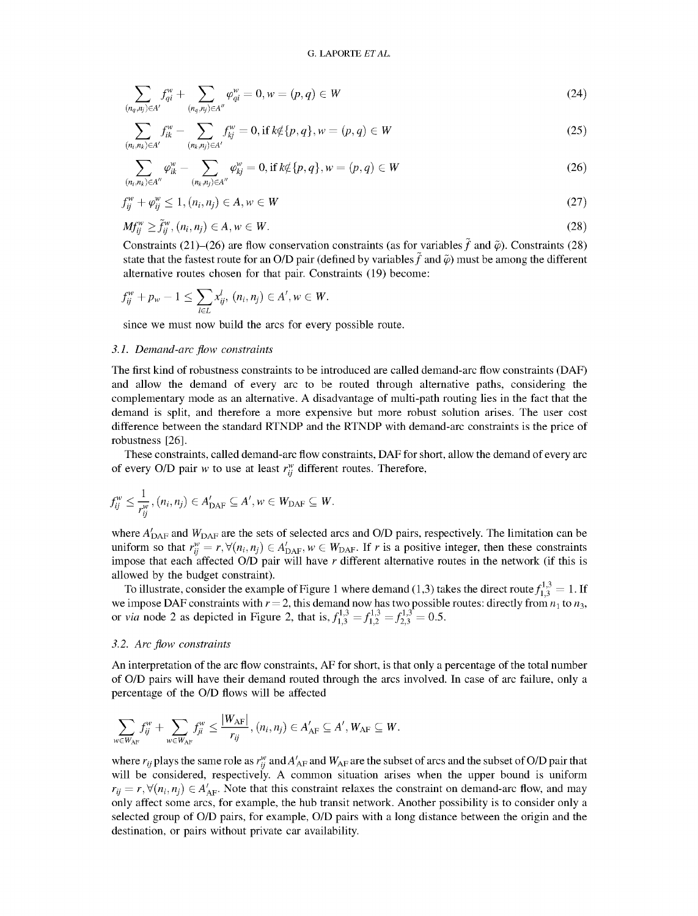$$
\sum_{(n_q, n_j) \in A'} f_{qi}^w + \sum_{(n_q, n_j) \in A''} \varphi_{qi}^w = 0, w = (p, q) \in W
$$
\n(24)

$$
\sum_{(n_i,n_k)\in A'} f_{ik}^w - \sum_{(n_k,n_j)\in A'} f_{kj}^w = 0, \text{ if } k \notin \{p,q\}, w = (p,q) \in W
$$
\n(25)

$$
\sum_{(n_i, n_k) \in A''} \varphi_{ik}^w - \sum_{(n_k, n_i) \in A''} \varphi_{kj}^w = 0, \text{ if } k \notin \{p, q\}, w = (p, q) \in W
$$
\n(26)

$$
f_{ij}^w + \varphi_{ij}^w \le 1, (n_i, n_j) \in A, w \in W
$$
\n(27)

$$
M_{ij}^{\mathcal{W}} \geq \tilde{f}_{ij}^{\mathcal{W}}, (n_i, n_j) \in A, \mathcal{W} \in W.
$$
 (28)

Constraints (21)–(26) are flow conservation constraints (as for variables  $\tilde{f}$  and  $\tilde{\varphi}$ ). Constraints (28) state that the fastest route for an O/D pair (defined by variables  $\hat{f}$  and  $\tilde{\omega}$ ) must be among the different alternative routes chosen for that pair. Constraints (19) become:

$$
f_{ij}^w + p_w - 1 \leq \sum_{l \in L} x_{ij}^l, (n_i, n_j) \in A', w \in W.
$$

since we must now build the arcs for every possible route.

# *3.1. Demand-arc flow constraints*

The first kind of robustness constraints to be introduced are called demand-arc flow constraints (DAF) and allow the demand of every arc to be routed through alternative paths, considering the complementary mode as an alternative. A disadvantage of multi-path routing lies in the fact that the demand is split, and therefore a more expensive but more robust solution arises. The user cost difference between the standard RTNDP and the RTNDP with demand-arc constraints is the price of robustness [26].

These constraints, called demand-arc flow constraints, DAF for short, allow the demand of every arc of every O/D pair *w* to use at least  $r_{ii}^{w}$  different routes. Therefore,

$$
f_{ij}^w \leq \frac{1}{r_{ij}^w}, (n_i, n_j) \in A'_{\text{DAF}} \subseteq A', w \in W_{\text{DAF}} \subseteq W.
$$

where  $A'_{\text{DAF}}$  and  $W_{\text{DAF}}$  are the sets of selected arcs and O/D pairs, respectively. The limitation can be uniform so that  $r_{ij}^w = r$ ,  $\forall (n_i, n_j) \in A'_{\text{DAF}}$ ,  $w \in W_{\text{DAF}}$ . If r is a positive integer, then these constraints impose that each affected O/D pair will have  $r$  different alternative routes in the network (if this is allowed by the budget constraint).

To illustrate, consider the example of Figure 1 where demand (1,3) takes the direct route  $f_{1,3}^{1,3} = 1$ . If To impose DAF constraints with  $r = 2$ , this demand now has two possible routes: directly from  $n_1$  to  $n_2$ . or via node 2 as depicted in Figure 2, that is,  $t_1^{1,3} = t_1^{1,3} = t_2^{1,3} = 0.5$ .  $\frac{1}{2}$  as depicted in Figure 2, that is,  $f_{1,3} = f_{1,2} = f_{2,3} = 0.5$ .

#### *3.2. Arc flow constraints*

An interpretation of the arc flow constraints, AF for short, is that only a percentage of the total number of O/D pairs will have their demand routed through the arcs involved. In case of arc failure, only a percentage of the O/D flows will be affected

$$
\sum_{w \in W_{\mathrm{AF}}} f_{ij}^w + \sum_{w \in W_{\mathrm{AF}}} f_{ji}^w \le \frac{|W_{\mathrm{AF}}|}{r_{ij}}, (n_i, n_j) \in A'_{\mathrm{AF}} \subseteq A', W_{\mathrm{AF}} \subseteq W.
$$

where  $r_{ij}$  plays the same role as  $r_{ij}^w$  and  $A'_{AF}$  and  $W_{AF}$  are the subset of arcs and the subset of O/D pair that will be considered, respectively. A common situation arises when the upper bound is uniform  $r_{ij} = r$ ,  $\forall (n_i, n_j) \in A'_{AF}$ . Note that this constraint relaxes the constraint on demand-arc flow, and may only affect some arcs, for example, the hub transit network. Another possibility is to consider only a selected group of O/D pairs, for example, O/D pairs with a long distance between the origin and the destination, or pairs without private car availability.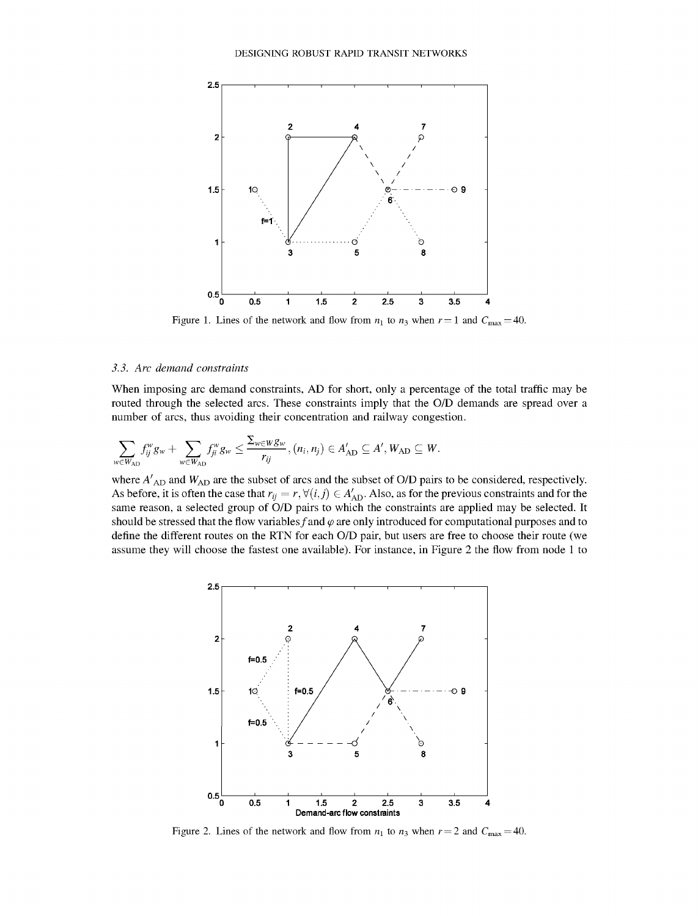

Figure 1. Lines of the network and flow from  $n_1$  to  $n_3$  when  $r = 1$  and  $C_{\text{max}} = 40$ .

### *33. Arc demand constraints*

When imposing arc demand constraints, AD for short, only a percentage of the total traffic may be routed through the selected arcs. These constraints imply that the O/D demands are spread over a number of arcs, thus avoiding their concentration and railway congestion.

$$
\sum_{w\in W_{\mathrm{AD}}}f_{ij}^w g_w+\sum_{w\in W_{\mathrm{AD}}}f_{ji}^w g_w\leq \frac{\Sigma_{w\in W} g_w}{r_{ij}}, (n_i, n_j)\in A_{\mathrm{AD}}'\subseteq A', W_{\mathrm{AD}}\subseteq W.
$$

where  $A'_{AD}$  and  $W_{AD}$  are the subset of arcs and the subset of O/D pairs to be considered, respectively. As before, it is often the case that  $r_{ij} = r, \forall (i, j) \in A'_{AD}$ . Also, as for the previous constraints and for the same reason, a selected group of O/D pairs to which the constraints are applied may be selected. It should be stressed that the flow variables  $f$  and  $\varphi$  are only introduced for computational purposes and to define the different routes on the RTN for each O/D pair, but users are free to choose their route (we assume they will choose the fastest one available). For instance, in Figure 2 the flow from node 1 to



Figure 2. Lines of the network and flow from  $n_1$  to  $n_3$  when  $r = 2$  and  $C_{\text{max}} = 40$ .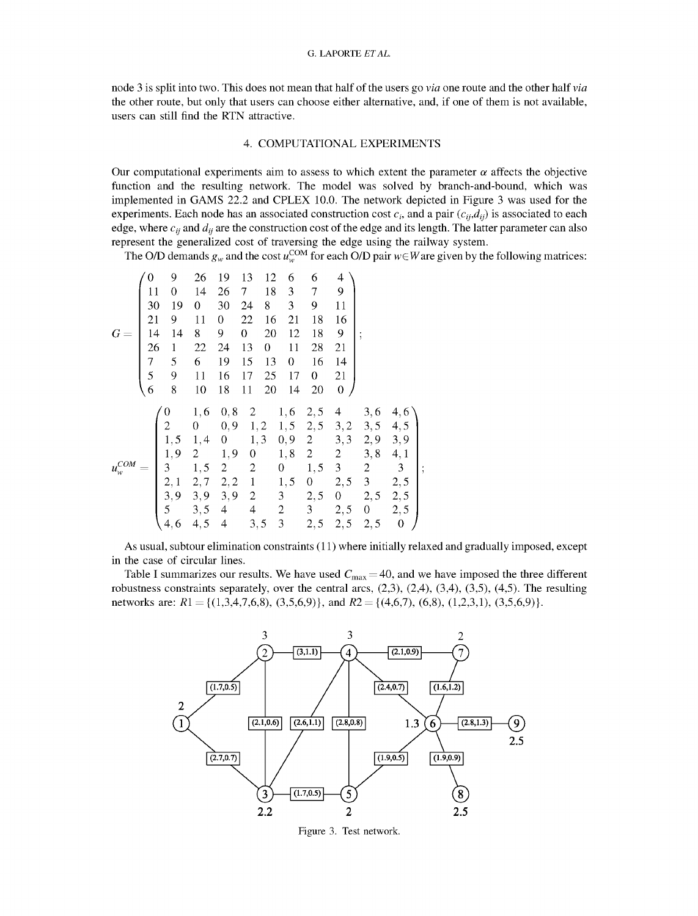node 3 is split into two. This does not mean that half of the users go *via* one route and the other half *via*  the other route, but only that users can choose either alternative, and, if one of them is not available, users can still find the RTN attractive.

#### 4. COMPUTATIONAL EXPERIMENTS

Our computational experiments aim to assess to which extent the parameter  $\alpha$  affects the objective function and the resulting network. The model was solved by branch-and-bound, which was implemented in GAMS 22.2 and CPLEX 10.0. The network depicted in Figure 3 was used for the experiments. Each node has an associated construction cost  $c_i$ , and a pair  $(c_{ij}, d_{ij})$  is associated to each edge, where  $c_{ij}$  and  $d_{ij}$  are the construction cost of the edge and its length. The latter parameter can also represent the generalized cost of traversing the edge using the railway system.

The O/D demands  $g_w$  and the cost  $u_w^{\text{COM}}$  for each O/D pair  $w \in W$  are

|                                                                                                                                                                                                                     | $\boldsymbol{0}$ | 9                | 26 | 19 | 13                       | 12               | 6                           | 6                | $\overline{\mathcal{A}}$ |                                        |                          |          |
|---------------------------------------------------------------------------------------------------------------------------------------------------------------------------------------------------------------------|------------------|------------------|----|----|--------------------------|------------------|-----------------------------|------------------|--------------------------|----------------------------------------|--------------------------|----------|
| $G = \begin{pmatrix} 0 \\ 11 \\ 30 \\ 21 \\ 14 \\ 26 \\ 7 \\ 5 \\ 6 \end{pmatrix}$                                                                                                                                  |                  | $\boldsymbol{0}$ | 14 | 26 | 7                        | 18               | 3                           | $\tau$           | 9                        |                                        |                          |          |
|                                                                                                                                                                                                                     |                  | 19               | 0  | 30 | 24                       | 8                | 3                           | 9                | 11                       |                                        |                          |          |
|                                                                                                                                                                                                                     |                  | 9                | 11 | 0  | 22                       | 16               | 21                          | 18               | 16                       |                                        |                          |          |
|                                                                                                                                                                                                                     |                  | 14               | 8  | 9  | $\boldsymbol{0}$         | 20               | 12                          | 18               | 9                        |                                        |                          |          |
|                                                                                                                                                                                                                     |                  | $\,1$            | 22 | 24 | 13                       | $\boldsymbol{0}$ | 11                          | 28               | 21                       |                                        |                          |          |
|                                                                                                                                                                                                                     |                  | $\frac{5}{9}$    | 6  | 19 | 15                       | 13               | 0                           | 16               | 14                       |                                        |                          |          |
|                                                                                                                                                                                                                     |                  |                  | 11 | 16 | 17                       | 25               | 17                          | 0                | 21                       |                                        |                          |          |
|                                                                                                                                                                                                                     |                  | 8                | 10 | 18 | 11                       | 20               | 14                          | 20               | $\overline{0}$           |                                        |                          |          |
|                                                                                                                                                                                                                     |                  |                  |    |    | $\overline{c}$           |                  | 1,6                         | 2, 5             | 4                        | 3, 6                                   | 4,6                      |          |
|                                                                                                                                                                                                                     |                  |                  |    |    | 1, 2                     |                  | 1, 5                        | 2, 5             | 3, 2                     | 3, 5                                   | 4, 5                     |          |
|                                                                                                                                                                                                                     |                  |                  |    |    | 1, 3                     |                  | 0,9                         | $\overline{2}$   | 3,3                      | 2, 9                                   | 3, 9                     |          |
|                                                                                                                                                                                                                     |                  |                  |    |    | $\boldsymbol{0}$         |                  | 1, 8                        | $\overline{2}$   |                          | $\frac{3}{5}$ , 8                      | $4,1$<br>3<br>2,5<br>2,5 |          |
|                                                                                                                                                                                                                     |                  |                  |    |    | $\overline{2}$           |                  | $\boldsymbol{0}$            | 1, 5             | $\frac{2}{3}$            | $\begin{bmatrix} 2 \\ 3 \end{bmatrix}$ |                          | $\vdots$ |
|                                                                                                                                                                                                                     |                  |                  |    |    | $\,1\,$                  |                  | 1, 5                        | $\boldsymbol{0}$ | 2, 5                     |                                        |                          |          |
| $\label{eq:2.1} \mathcal{M} = \begin{pmatrix} 0 & 1, & & \\ 2 & 0 & \downarrow, & \\ 1,5 & 1,4 & 0 & \\ 1,9 & 2 & 1,9 & 7 \\ 3 & 1,5 & 2 & \\ 2,1 & 2,7 & 2 & \\ 3,9 & 3,9 & \\ 5 & 3 & \\ 4,6 & & & \end{pmatrix}$ |                  |                  |    |    | $\sqrt{2}$               |                  | $\mathbf{3}$                | 2, 5             | $\boldsymbol{0}$         | 2, 5                                   |                          |          |
|                                                                                                                                                                                                                     |                  |                  |    |    | $\overline{\mathcal{L}}$ |                  | $\overline{2}$              | $\mathfrak{Z}$   | 2, 5                     | $\boldsymbol{0}$                       | $2,5$<br>0               |          |
|                                                                                                                                                                                                                     |                  |                  |    |    | 3, 5                     |                  | $\ensuremath{\mathfrak{Z}}$ | 2, 5             | 2, 5                     | 2, 5                                   |                          |          |

As usual, subtour elimination constraints (11) where initially relaxed and gradually imposed, except in the case of circular lines.

Table I summarizes our results. We have used  $C_{\text{max}} = 40$ , and we have imposed the three different robustness constraints separately, over the central arcs,  $(2,3)$ ,  $(2,4)$ ,  $(3,4)$ ,  $(3,5)$ ,  $(4,5)$ . The resulting networks are:  $R1 = \{(1,3,4,7,6,8), (3,5,6,9)\}\$ , and  $R2 = \{(4,6,7), (6,8), (1,2,3,1), (3,5,6,9)\}\$ .



Figure 3. Test network.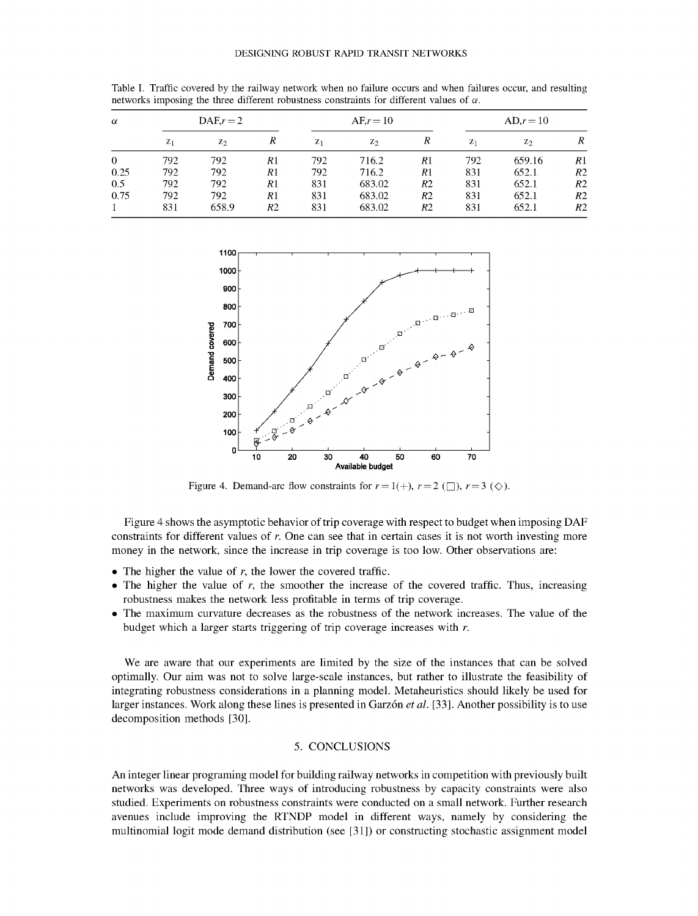| $\alpha$ | DAF, $r=2$ |       |    |       | $AF_r = 10$ |    | $AD, r = 10$ |        |            |
|----------|------------|-------|----|-------|-------------|----|--------------|--------|------------|
|          | $Z_1$      | $Z_2$ | R  | $Z_1$ | $Z_2$       | R  | $Z_1$        | $Z_2$  | R          |
| $\theta$ | 792        | 792   | R1 | 792   | 716.2       | R1 | 792          | 659.16 | R1         |
| 0.25     | 792        | 792   | R1 | 792   | 716.2       | R1 | 831          | 652.1  | R2         |
| 0.5      | 792        | 792   | R1 | 831   | 683.02      | R2 | 831          | 652.1  | R2         |
| 0.75     | 792        | 792   | R1 | 831   | 683.02      | R2 | 831          | 652.1  | R2         |
|          | 831        | 658.9 | R2 | 831   | 683.02      | R2 | 831          | 652.1  | <i>R</i> 2 |

Table I. Traffic covered by the railway network when no failure occurs and when failures occur, and resulting networks imposing the three different robustness constraints for different values of  $\alpha$ .



Figure 4. Demand-arc flow constraints for  $r = 1(+)$ ,  $r = 2$  ( $\Box$ ),  $r = 3$  ( $\diamondsuit$ ).

Figure 4 shows the asymptotic behavior of trip coverage with respect to budget when imposing DAF constraints for different values of r. One can see that in certain cases it is not worth investing more money in the network, since the increase in trip coverage is too low. Other observations are:

- The higher the value of  $r$ , the lower the covered traffic.
- The higher the value of  $r$ , the smoother the increase of the covered traffic. Thus, increasing robustness makes the network less profitable in terms of trip coverage.
- The maximum curvature decreases as the robustness of the network increases. The value of the budget which a larger starts triggering of trip coverage increases with r.

We are aware that our experiments are limited by the size of the instances that can be solved optimally. Our aim was not to solve large-scale instances, but rather to illustrate the feasibility of integrating robustness considerations in a planning model. Metaheuristics should likely be used for larger instances. Work along these lines is presented in Garzon *et al.* [33]. Another possibility is to use decomposition methods [30].

# 5. CONCLUSIONS

An integer linear programing model for building railway networks in competition with previously built networks was developed. Three ways of introducing robustness by capacity constraints were also studied. Experiments on robustness constraints were conducted on a small network. Further research avenues include improving the RTNDP model in different ways, namely by considering the multinomial logit mode demand distribution (see [31]) or constructing stochastic assignment model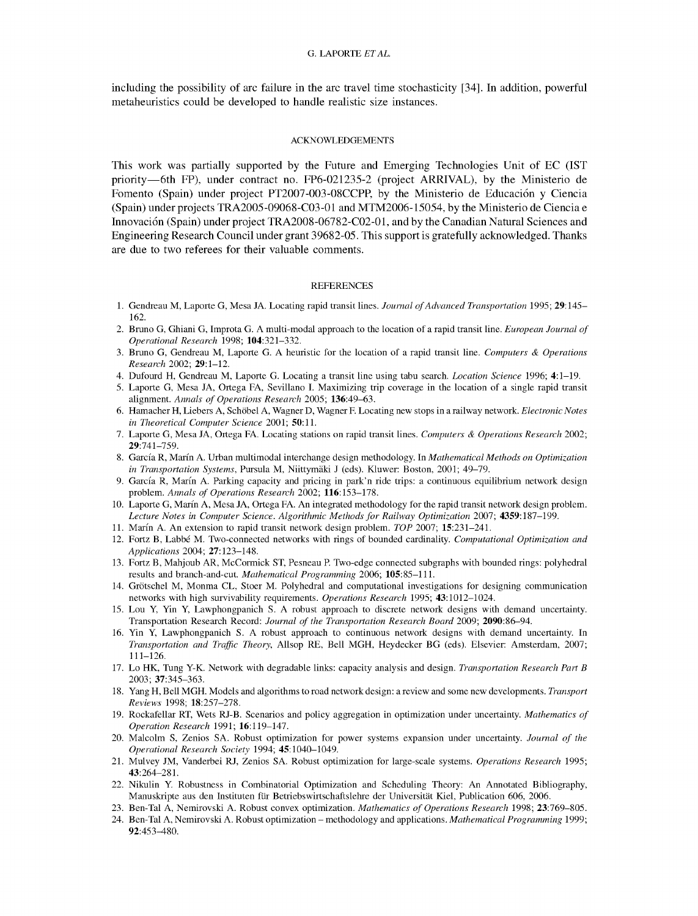### G. LAPORTE *ETAL.*

including the possibility of arc failure in the arc travel time stochasticity [34]. In addition, powerful metaheuristics could be developed to handle realistic size instances.

#### ACKNOWLEDGEMENTS

This work was partially supported by the Future and Emerging Technologies Unit of EC (1ST priority—6th FP), under contract no. FP6-021235-2 (project ARRIVAL), by the Ministerio de Fomento (Spain) under project PT2007-003-08CCPP, by the Ministerio de Educacion y Ciencia (Spain) under projects TRA2005-09068-C03-01 and MTM2006-15054, by the Ministerio de Ciencia e Innovacion (Spain) under project TRA2008-06782-C02-01, and by the Canadian Natural Sciences and Engineering Research Council under grant 39682-05. This support is gratefully acknowledged. Thanks are due to two referees for their valuable comments.

#### **REFERENCES**

- 1. Gendreau M, Laporte G, Mesa JA. Locating rapid transit lines. *Journal of Advanced Transportation* 1995; 29:145- 162.
- 2. Bruno G, Ghiani G, Improta G. A multi-modal approach to the location of a rapid transit line. *European Journal of Operational Research* 1998; 104:321-332.
- 3. Bruno G, Gendreau M, Laporte G. A heuristic for the location of a rapid transit line. *Computers & Operations Research 2002;* 29:1-12.
- 4. Dufourd H, Gendreau M, Laporte G. Locating a transit line using tabu search. *Location Science* 1996; 4:1-19.
- 5. Laporte G, Mesa JA, Ortega FA, Sevillano I. Maximizing trip coverage in the location of a single rapid transit alignment. *Annals of Operations Research* 2005; 136:49-63.
- 6. Hamacher H, Liebers A, Schobel A, Wagner D, Wagner F Locating new stops in a railway network. *Electronic Notes in Theoretical Computer Science* 2001; 50:11.
- 7. Laporte G, Mesa JA, Ortega FA. Locating stations on rapid transit lines. *Computers & Operations Research* 2002; 29:741-759.
- 8. Garcia R, Marin A. Urban multimodal interchange design methodology. In *Mathematical Methods on Optimization in Transportation Systems,* Pursula M, Niittymaki J (eds). Kluwer: Boston, 2001; 49-79.
- 9. Garcia R, Marin A. Parking capacity and pricing in park'n ride trips: a continuous equilibrium network design problem. *Annals of Operations Research* 2002; 116:153-178.
- 10. Laporte G, Marin A, Mesa JA, Ortega FA. An integrated methodology for the rapid transit network design problem. *Lecture Notes in Computer Science. Algorithmic Methods for Railway Optimization* 2007; 4359:187-199.
- 11. Marin A. An extension to rapid transit network design problem. *TOP* 2007; 15:231-241.
- 12. Fortz B, Labbe M. Two-connected networks with rings of bounded cardinality. *Computational Optimization and Applications* 2004; **27**:123-148.
- 13. Fortz B, Mahjoub AR, McCormick ST, Pesneau P. Two-edge connected subgraphs with bounded rings: polyhedral results and branch-and-cut. *Mathematical Programming* 2006; 105:85-111.
- 14. Grotschel M, Monma CL, Stoer M. Polyhedral and computational investigations for designing communication networks with high survivability requirements. *Operations Research* 1995; 43:1012-1024.
- 15. Lou Y, Yin Y, Lawphongpanich S. A robust approach to discrete network designs with demand uncertainty. Transportation Research Record: *Journal of the Transportation Research Board* 2009; 2090:86-94.
- 16. Yin Y, Lawphongpanich S. A robust approach to continuous network designs with demand uncertainty. In *Transportation and Traffic Theory,* AUsop RE, Bell MGH, Heydecker BG (eds). Elsevier: Amsterdam, 2007; 111-126.
- 17. Lo HK, Tung Y-K. Network with degradable links: capacity analysis and design. *Transportation Research Part B*  2003; 37:345-363.
- 18. Yang H, Bell MGH. Models and algorithms to road network design: a review and some new developments. *Transport Reviews* 1998; 18:257-278.
- 19. Rockafellar RT, Wets RJ-B. Scenarios and policy aggregation in optimization under uncertainty. *Mathematics of Operation Research* 1991; 16:119-147.
- 20. Malcolm S, Zenios SA. Robust optimization for power systems expansion under uncertainty. *Journal of the Operational Research Society* 1994; 45:1040-1049.
- 21. Mulvey JM, Vanderbei RJ, Zenios SA. Robust optimization for large-scale systems. *Operations Research* 1995; 43:264-281.
- 22. Nikulin Y Robustness in Combinatorial Optimization and Scheduling Theory: An Annotated Bibliography, Manuskripte aus den Instituten fiir Betriebswirtschaftslehre der Universitat Kiel, Publication 606, 2006.
- 23. Ben-Tal A, Nemirovski A. Robust convex optimization. *Mathematics of Operations Research* 1998; 23:769-805.
- 24. Ben-Tal A, Nemirovski A. Robust optimization methodology and applications. *Mathematical Programming* 1999; 92:453-480.